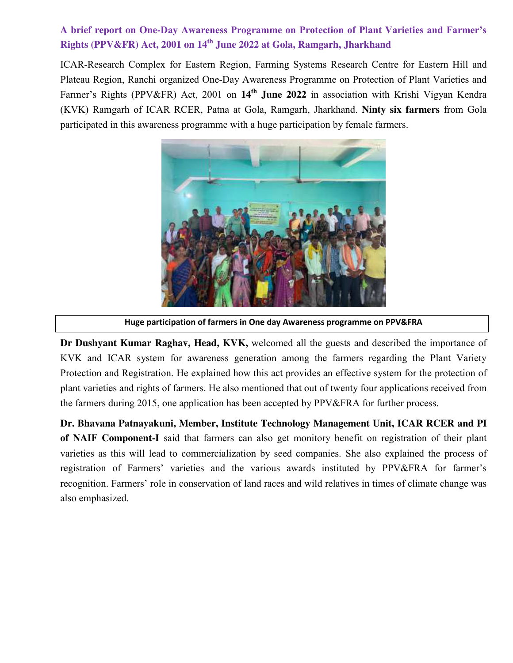## **A brief report on One-Day Awareness Programme on Protection of Plant Varieties and Farmer's Rights (PPV&FR) Act, 2001 on 14th June 2022 at Gola, Ramgarh, Jharkhand**

ICAR-Research Complex for Eastern Region, Farming Systems Research Centre for Eastern Hill and Plateau Region, Ranchi organized One-Day Awareness Programme on Protection of Plant Varieties and Farmer's Rights (PPV&FR) Act, 2001 on **14th June 2022** in association with Krishi Vigyan Kendra (KVK) Ramgarh of ICAR RCER, Patna at Gola, Ramgarh, Jharkhand. **Ninty six farmers** from Gola participated in this awareness programme with a huge participation by female farmers.



**Huge participation of farmers in One day Awareness programme on PPV&FRA**

**Dr Dushyant Kumar Raghav, Head, KVK,** welcomed all the guests and described the importance of KVK and ICAR system for awareness generation among the farmers regarding the Plant Variety Protection and Registration. He explained how this act provides an effective system for the protection of plant varieties and rights of farmers. He also mentioned that out of twenty four applications received from the farmers during 2015, one application has been accepted by PPV&FRA for further process.

**Dr. Bhavana Patnayakuni, Member, Institute Technology Management Unit, ICAR RCER and PI of NAIF Component-I** said that farmers can also get monitory benefit on registration of their plant varieties as this will lead to commercialization by seed companies. She also explained the process of registration of Farmers' varieties and the various awards instituted by PPV&FRA for farmer's recognition. Farmers' role in conservation of land races and wild relatives in times of climate change was also emphasized.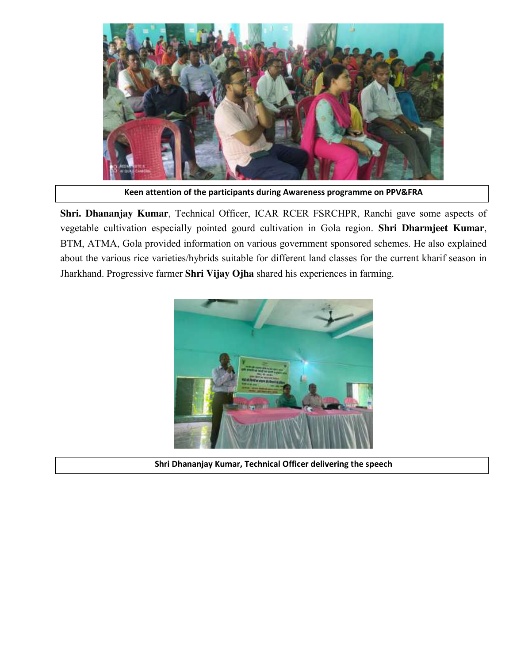

**Keen attention of the participants during Awareness programme on PPV&FRA**

**Shri. Dhananjay Kumar**, Technical Officer, ICAR RCER FSRCHPR, Ranchi gave some aspects of vegetable cultivation especially pointed gourd cultivation in Gola region. **Shri Dharmjeet Kumar**, BTM, ATMA, Gola provided information on various government sponsored schemes. He also explained about the various rice varieties/hybrids suitable for different land classes for the current kharif season in Jharkhand. Progressive farmer **Shri Vijay Ojha** shared his experiences in farming.



**Shri Dhananjay Kumar, Technical Officer delivering the speech**